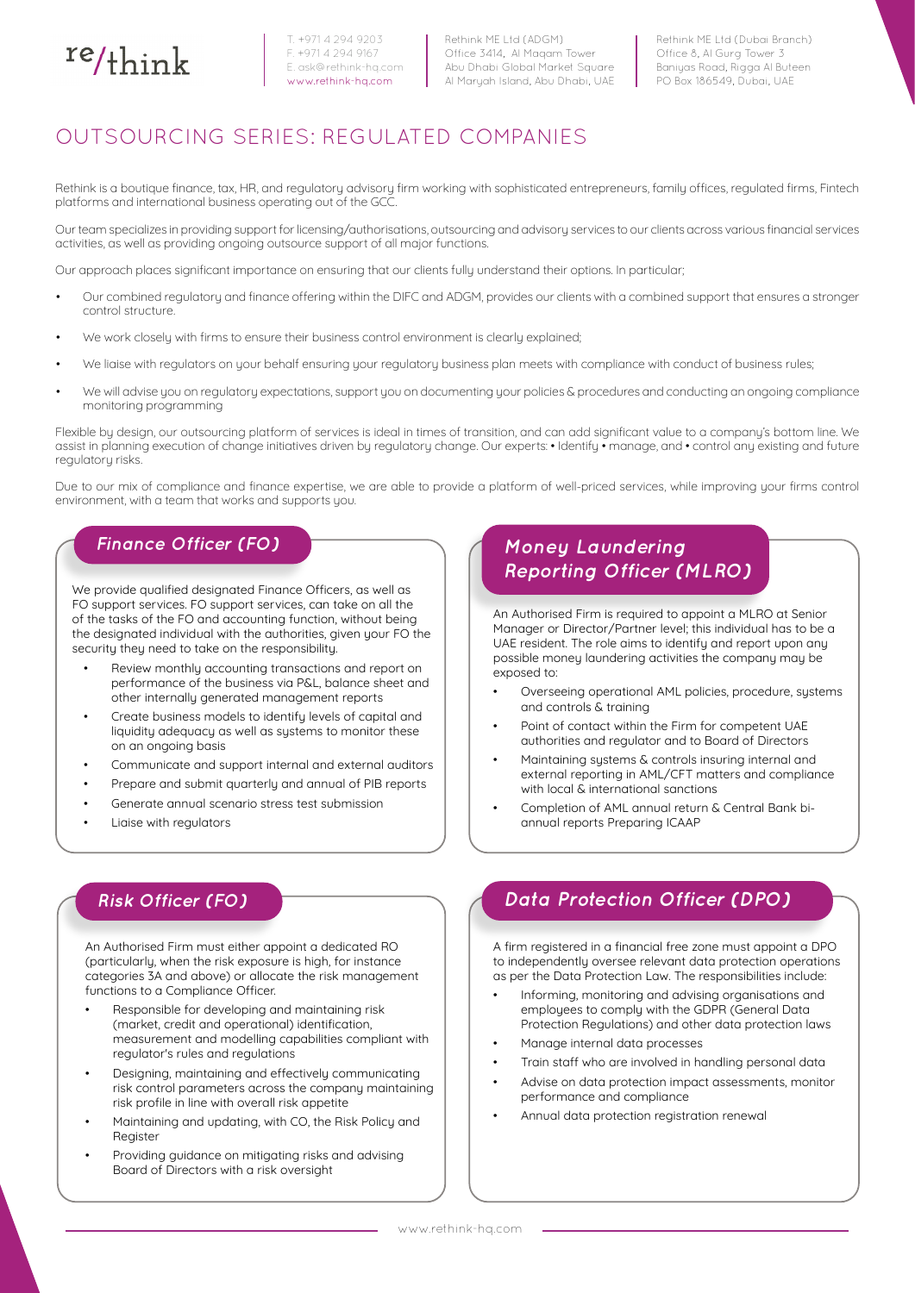

T. +971 4 294 9203 F. +971 4 294 9167 E. [ask@rethink-hq.com](mailto:ask%40rethink-hq.com?subject=) www.rethink-hq.com

Rethink ME Ltd (ADGM) Office 3414, Al Maqam Tower Abu Dhabi Global Market Square Al Maryah Island, Abu Dhabi, UAE Rethink ME Ltd (Dubai Branch) Office 8, Al Gurg Tower 3 Baniyas Road, Rigga Al Buteen PO Box 186549, Dubai, UAE

# OUTSOURCING SERIES: REGULATED COMPANIES

Rethink is a boutique finance, tax, HR, and regulatory advisory firm working with sophisticated entrepreneurs, family offices, regulated firms, Fintech platforms and international business operating out of the GCC.

Our team specializes in providing support for licensing/authorisations, outsourcing and advisory services to our clients across various financial services activities, as well as providing ongoing outsource support of all major functions.

Our approach places significant importance on ensuring that our clients fully understand their options. In particular;

- Our combined regulatory and finance offering within the DIFC and ADGM, provides our clients with a combined support that ensures a stronger control structure.
- We work closely with firms to ensure their business control environment is clearly explained;
- We liaise with regulators on your behalf ensuring your regulatory business plan meets with compliance with conduct of business rules;
- We will advise you on regulatory expectations, support you on documenting your policies & procedures and conducting an ongoing compliance monitoring programming

Flexible by design, our outsourcing platform of services is ideal in times of transition, and can add significant value to a company's bottom line. We assist in planning execution of change initiatives driven by regulatory change. Our experts: • Identify • manage, and • control any existing and future regulatory risks.

Due to our mix of compliance and finance expertise, we are able to provide a platform of well-priced services, while improving your firms control environment, with a team that works and supports you.

## **[Finance Officer \(FO\)]( http://rethink-hq.com/finance-officer-for-difc-adgm-regulated-entities/) Money Laundering**

We provide qualified designated Finance Officers, as well as FO support services. FO support services, can take on all the of the tasks of the FO and accounting function, without being the designated individual with the authorities, given your FO the security they need to take on the responsibility.

- Review monthly accounting transactions and report on performance of the business via P&L, balance sheet and other internally generated management reports
- Create business models to identify levels of capital and liquidity adequacy as well as systems to monitor these on an ongoing basis
- Communicate and support internal and external auditors
- Prepare and submit quarterly and annual of PIB reports
- Generate annual scenario stress test submission
- Liaise with regulators

# **[Reporting Officer \(MLRO\)]( http://rethink-hq.com/finance-officer-for-difc-adgm-regulated-entities/)**

An Authorised Firm is required to appoint a MLRO at Senior Manager or Director/Partner level; this individual has to be a UAE resident. The role aims to identify and report upon any possible money laundering activities the company may be exposed to:

- Overseeing operational AML policies, procedure, systems and controls & training
- Point of contact within the Firm for competent UAE authorities and regulator and to Board of Directors
- Maintaining systems & controls insuring internal and external reporting in AML/CFT matters and compliance with local & international sanctions
- Completion of AML annual return & Central Bank biannual reports Preparing ICAAP

An Authorised Firm must either appoint a dedicated RO (particularly, when the risk exposure is high, for instance categories 3A and above) or allocate the risk management functions to a Compliance Officer.

- Responsible for developing and maintaining risk (market, credit and operational) identification, measurement and modelling capabilities compliant with regulator's rules and regulations
- Designing, maintaining and effectively communicating risk control parameters across the company maintaining risk profile in line with overall risk appetite
- Maintaining and updating, with CO, the Risk Policy and Register
- Providing guidance on mitigating risks and advising Board of Directors with a risk oversight

## **[Risk Officer \(FO\)]( http://rethink-hq.com/finance-officer-for-difc-adgm-regulated-entities/) [Data Protection Officer \(DPO\)]( http://rethink-hq.com/finance-officer-for-difc-adgm-regulated-entities/)**

A firm registered in a financial free zone must appoint a DPO to independently oversee relevant data protection operations as per the Data Protection Law. The responsibilities include:

- Informing, monitoring and advising organisations and employees to comply with the GDPR (General Data Protection Regulations) and other data protection laws
- Manage internal data processes
- Train staff who are involved in handling personal data
- Advise on data protection impact assessments, monitor performance and compliance
- Annual data protection registration renewal